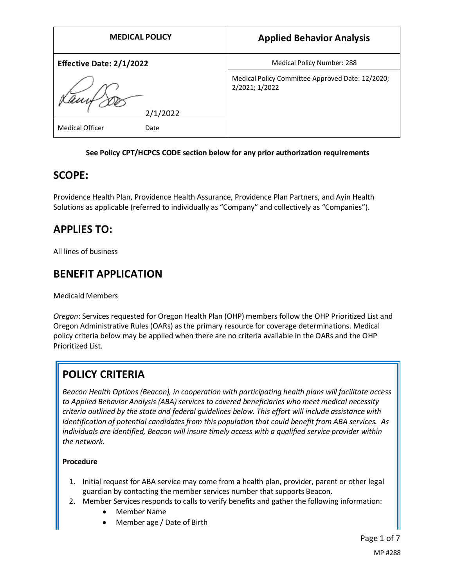| <b>MEDICAL POLICY</b>           | <b>Applied Behavior Analysis</b>                                   |
|---------------------------------|--------------------------------------------------------------------|
| <b>Effective Date: 2/1/2022</b> | Medical Policy Number: 288                                         |
|                                 | Medical Policy Committee Approved Date: 12/2020;<br>2/2021; 1/2022 |
| 2/1/2022                        |                                                                    |
| <b>Medical Officer</b><br>Date  |                                                                    |

#### **See Policy CPT/HCPCS CODE section below for any prior authorization requirements**

## **SCOPE:**

Providence Health Plan, Providence Health Assurance, Providence Plan Partners, and Ayin Health Solutions as applicable (referred to individually as "Company" and collectively as "Companies").

# **APPLIES TO:**

All lines of business

### **BENEFIT APPLICATION**

#### Medicaid Members

*Oregon*: Services requested for Oregon Health Plan (OHP) members follow the OHP Prioritized List and Oregon Administrative Rules (OARs) as the primary resource for coverage determinations. Medical policy criteria below may be applied when there are no criteria available in the OARs and the OHP Prioritized List.

# **POLICY CRITERIA**

*Beacon Health Options (Beacon), in cooperation with participating health plans will facilitate access to Applied Behavior Analysis (ABA) services to covered beneficiaries who meet medical necessity criteria outlined by the state and federal guidelines below. This effort will include assistance with identification of potential candidates from this population that could benefit from ABA services. As individuals are identified, Beacon will insure timely access with a qualified service provider within the network.* 

#### **Procedure**

- 1. Initial request for ABA service may come from a health plan, provider, parent or other legal guardian by contacting the member services number that supports Beacon.
- 2. Member Services responds to calls to verify benefits and gather the following information:
	- Member Name
	- Member age / Date of Birth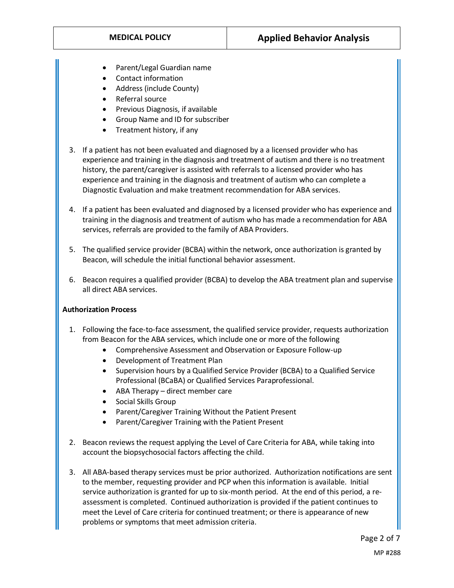- Parent/Legal Guardian name
- Contact information
- Address (include County)
- Referral source
- Previous Diagnosis, if available
- Group Name and ID for subscriber
- Treatment history, if any
- 3. If a patient has not been evaluated and diagnosed by a a licensed provider who has experience and training in the diagnosis and treatment of autism and there is no treatment history, the parent/caregiver is assisted with referrals to a licensed provider who has experience and training in the diagnosis and treatment of autism who can complete a Diagnostic Evaluation and make treatment recommendation for ABA services.
- 4. If a patient has been evaluated and diagnosed by a licensed provider who has experience and training in the diagnosis and treatment of autism who has made a recommendation for ABA services, referrals are provided to the family of ABA Providers.
- 5. The qualified service provider (BCBA) within the network, once authorization is granted by Beacon, will schedule the initial functional behavior assessment.
- 6. Beacon requires a qualified provider (BCBA) to develop the ABA treatment plan and supervise all direct ABA services.

#### **Authorization Process**

- 1. Following the face-to-face assessment, the qualified service provider, requests authorization from Beacon for the ABA services, which include one or more of the following
	- Comprehensive Assessment and Observation or Exposure Follow-up
	- Development of Treatment Plan
	- Supervision hours by a Qualified Service Provider (BCBA) to a Qualified Service Professional (BCaBA) or Qualified Services Paraprofessional.
	- ABA Therapy direct member care
	- Social Skills Group
	- Parent/Caregiver Training Without the Patient Present
	- Parent/Caregiver Training with the Patient Present
- 2. Beacon reviews the request applying the Level of Care Criteria for ABA, while taking into account the biopsychosocial factors affecting the child.
- 3. All ABA-based therapy services must be prior authorized. Authorization notifications are sent to the member, requesting provider and PCP when this information is available. Initial service authorization is granted for up to six-month period. At the end of this period, a reassessment is completed. Continued authorization is provided if the patient continues to meet the Level of Care criteria for continued treatment; or there is appearance of new problems or symptoms that meet admission criteria.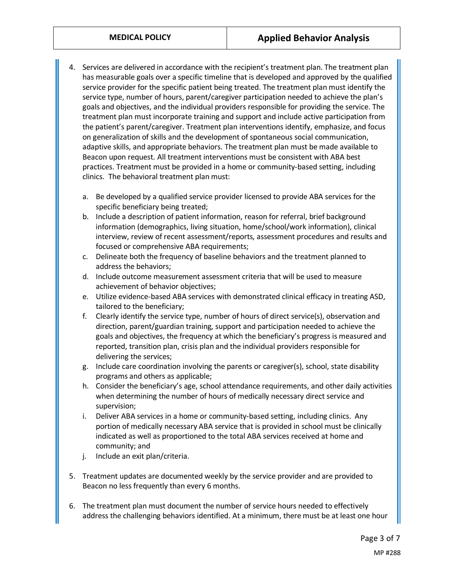- 4. Services are delivered in accordance with the recipient's treatment plan. The treatment plan has measurable goals over a specific timeline that is developed and approved by the qualified service provider for the specific patient being treated. The treatment plan must identify the service type, number of hours, parent/caregiver participation needed to achieve the plan's goals and objectives, and the individual providers responsible for providing the service. The treatment plan must incorporate training and support and include active participation from the patient's parent/caregiver. Treatment plan interventions identify, emphasize, and focus on generalization of skills and the development of spontaneous social communication, adaptive skills, and appropriate behaviors. The treatment plan must be made available to Beacon upon request. All treatment interventions must be consistent with ABA best practices. Treatment must be provided in a home or community-based setting, including clinics. The behavioral treatment plan must:
	- a. Be developed by a qualified service provider licensed to provide ABA services for the specific beneficiary being treated;
	- b. Include a description of patient information, reason for referral, brief background information (demographics, living situation, home/school/work information), clinical interview, review of recent assessment/reports, assessment procedures and results and focused or comprehensive ABA requirements;
	- c. Delineate both the frequency of baseline behaviors and the treatment planned to address the behaviors;
	- d. Include outcome measurement assessment criteria that will be used to measure achievement of behavior objectives;
	- e. Utilize evidence-based ABA services with demonstrated clinical efficacy in treating ASD, tailored to the beneficiary;
	- f. Clearly identify the service type, number of hours of direct service(s), observation and direction, parent/guardian training, support and participation needed to achieve the goals and objectives, the frequency at which the beneficiary's progress is measured and reported, transition plan, crisis plan and the individual providers responsible for delivering the services;
	- g. Include care coordination involving the parents or caregiver(s), school, state disability programs and others as applicable;
	- h. Consider the beneficiary's age, school attendance requirements, and other daily activities when determining the number of hours of medically necessary direct service and supervision;
	- i. Deliver ABA services in a home or community-based setting, including clinics. Any portion of medically necessary ABA service that is provided in school must be clinically indicated as well as proportioned to the total ABA services received at home and community; and
	- j. Include an exit plan/criteria.
- 5. Treatment updates are documented weekly by the service provider and are provided to Beacon no less frequently than every 6 months.
- 6. The treatment plan must document the number of service hours needed to effectively address the challenging behaviors identified. At a minimum, there must be at least one hour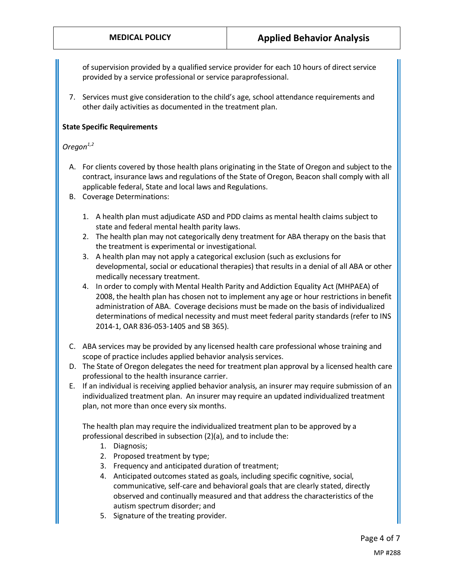of supervision provided by a qualified service provider for each 10 hours of direct service provided by a service professional or service paraprofessional.

7. Services must give consideration to the child's age, school attendance requirements and other daily activities as documented in the treatment plan.

#### **State Specific Requirements**

#### *Oregon1,2*

- A. For clients covered by those health plans originating in the State of Oregon and subject to the contract, insurance laws and regulations of the State of Oregon, Beacon shall comply with all applicable federal, State and local laws and Regulations.
- B. Coverage Determinations:
	- 1. A health plan must adjudicate ASD and PDD claims as mental health claims subject to state and federal mental health parity laws.
	- 2. The health plan may not categorically deny treatment for ABA therapy on the basis that the treatment is experimental or investigational.
	- 3. A health plan may not apply a categorical exclusion (such as exclusions for developmental, social or educational therapies) that results in a denial of all ABA or other medically necessary treatment.
	- 4. In order to comply with Mental Health Parity and Addiction Equality Act (MHPAEA) of 2008, the health plan has chosen not to implement any age or hour restrictions in benefit administration of ABA. Coverage decisions must be made on the basis of individualized determinations of medical necessity and must meet federal parity standards (refer to INS 2014-1, OAR 836-053-1405 and SB 365).
- C. ABA services may be provided by any licensed health care professional whose training and scope of practice includes applied behavior analysis services.
- D. The State of Oregon delegates the need for treatment plan approval by a licensed health care professional to the health insurance carrier.
- E. If an individual is receiving applied behavior analysis, an insurer may require submission of an individualized treatment plan. An insurer may require an updated individualized treatment plan, not more than once every six months.

The health plan may require the individualized treatment plan to be approved by a professional described in subsection (2)(a), and to include the:

- 1. Diagnosis;
- 2. Proposed treatment by type;
- 3. Frequency and anticipated duration of treatment;
- 4. Anticipated outcomes stated as goals, including specific cognitive, social, communicative, self-care and behavioral goals that are clearly stated, directly observed and continually measured and that address the characteristics of the autism spectrum disorder; and
- 5. Signature of the treating provider.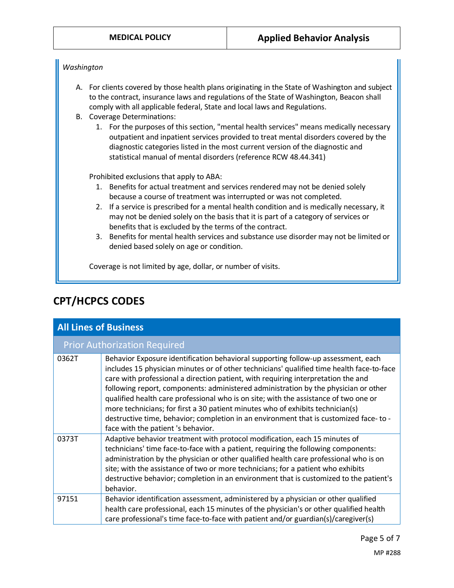#### *Washington*

- A. For clients covered by those health plans originating in the State of Washington and subject to the contract, insurance laws and regulations of the State of Washington, Beacon shall comply with all applicable federal, State and local laws and Regulations.
- B. Coverage Determinations:
	- 1. For the purposes of this section, "mental health services" means medically necessary outpatient and inpatient services provided to treat mental disorders covered by the diagnostic categories listed in the most current version of the diagnostic and statistical manual of mental disorders (reference RCW 48.44.341)

Prohibited exclusions that apply to ABA:

- 1. Benefits for actual treatment and services rendered may not be denied solely because a course of treatment was interrupted or was not completed.
- 2. If a service is prescribed for a mental health condition and is medically necessary, it may not be denied solely on the basis that it is part of a category of services or benefits that is excluded by the terms of the contract.
- 3. Benefits for mental health services and substance use disorder may not be limited or denied based solely on age or condition.

Coverage is not limited by age, dollar, or number of visits.

## **CPT/HCPCS CODES**

| <b>All Lines of Business</b>        |                                                                                                                                                                                                                                                                                                                                                                                                                                                                                                                                                                                                                                                                      |
|-------------------------------------|----------------------------------------------------------------------------------------------------------------------------------------------------------------------------------------------------------------------------------------------------------------------------------------------------------------------------------------------------------------------------------------------------------------------------------------------------------------------------------------------------------------------------------------------------------------------------------------------------------------------------------------------------------------------|
| <b>Prior Authorization Required</b> |                                                                                                                                                                                                                                                                                                                                                                                                                                                                                                                                                                                                                                                                      |
| 0362T                               | Behavior Exposure identification behavioral supporting follow-up assessment, each<br>includes 15 physician minutes or of other technicians' qualified time health face-to-face<br>care with professional a direction patient, with requiring interpretation the and<br>following report, components: administered administration by the physician or other<br>qualified health care professional who is on site; with the assistance of two one or<br>more technicians; for first a 30 patient minutes who of exhibits technician(s)<br>destructive time, behavior; completion in an environment that is customized face- to -<br>face with the patient 's behavior. |
| 0373T                               | Adaptive behavior treatment with protocol modification, each 15 minutes of<br>technicians' time face-to-face with a patient, requiring the following components:<br>administration by the physician or other qualified health care professional who is on<br>site; with the assistance of two or more technicians; for a patient who exhibits<br>destructive behavior; completion in an environment that is customized to the patient's<br>behavior.                                                                                                                                                                                                                 |
| 97151                               | Behavior identification assessment, administered by a physician or other qualified<br>health care professional, each 15 minutes of the physician's or other qualified health<br>care professional's time face-to-face with patient and/or guardian(s)/caregiver(s)                                                                                                                                                                                                                                                                                                                                                                                                   |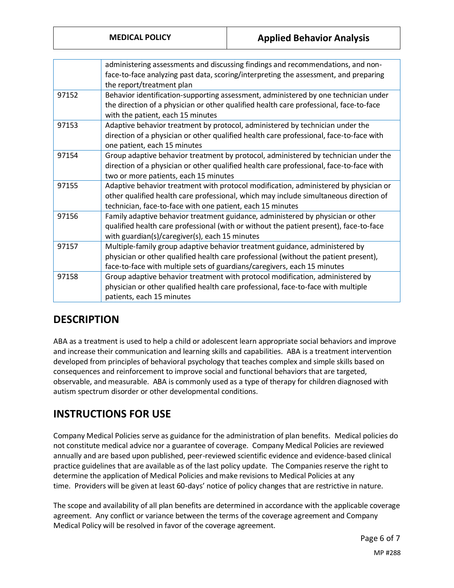|       | administering assessments and discussing findings and recommendations, and non-<br>face-to-face analyzing past data, scoring/interpreting the assessment, and preparing                                                                         |
|-------|-------------------------------------------------------------------------------------------------------------------------------------------------------------------------------------------------------------------------------------------------|
|       | the report/treatment plan                                                                                                                                                                                                                       |
| 97152 | Behavior identification-supporting assessment, administered by one technician under<br>the direction of a physician or other qualified health care professional, face-to-face<br>with the patient, each 15 minutes                              |
| 97153 | Adaptive behavior treatment by protocol, administered by technician under the<br>direction of a physician or other qualified health care professional, face-to-face with<br>one patient, each 15 minutes                                        |
| 97154 | Group adaptive behavior treatment by protocol, administered by technician under the<br>direction of a physician or other qualified health care professional, face-to-face with<br>two or more patients, each 15 minutes                         |
| 97155 | Adaptive behavior treatment with protocol modification, administered by physician or<br>other qualified health care professional, which may include simultaneous direction of<br>technician, face-to-face with one patient, each 15 minutes     |
| 97156 | Family adaptive behavior treatment guidance, administered by physician or other<br>qualified health care professional (with or without the patient present), face-to-face<br>with guardian(s)/caregiver(s), each 15 minutes                     |
| 97157 | Multiple-family group adaptive behavior treatment guidance, administered by<br>physician or other qualified health care professional (without the patient present),<br>face-to-face with multiple sets of guardians/caregivers, each 15 minutes |
| 97158 | Group adaptive behavior treatment with protocol modification, administered by<br>physician or other qualified health care professional, face-to-face with multiple<br>patients, each 15 minutes                                                 |
|       |                                                                                                                                                                                                                                                 |

# **DESCRIPTION**

ABA as a treatment is used to help a child or adolescent learn appropriate social behaviors and improve and increase their communication and learning skills and capabilities. ABA is a treatment intervention developed from principles of behavioral psychology that teaches complex and simple skills based on consequences and reinforcement to improve social and functional behaviors that are targeted, observable, and measurable. ABA is commonly used as a type of therapy for children diagnosed with autism spectrum disorder or other developmental conditions.

# **INSTRUCTIONS FOR USE**

Company Medical Policies serve as guidance for the administration of plan benefits. Medical policies do not constitute medical advice nor a guarantee of coverage. Company Medical Policies are reviewed annually and are based upon published, peer-reviewed scientific evidence and evidence-based clinical practice guidelines that are available as of the last policy update. The Companies reserve the right to determine the application of Medical Policies and make revisions to Medical Policies at any time. Providers will be given at least 60-days' notice of policy changes that are restrictive in nature.

The scope and availability of all plan benefits are determined in accordance with the applicable coverage agreement. Any conflict or variance between the terms of the coverage agreement and Company Medical Policy will be resolved in favor of the coverage agreement.